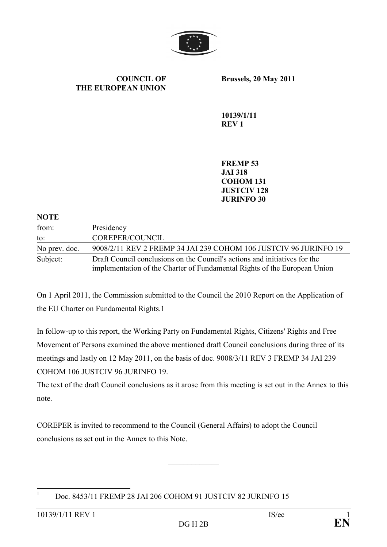

COUNCIL OF THE EUROPEAN UNION Brussels, 20 May 2011

10139/1/11 REV 1

FREMP 53 JAI 318 COHOM 131 JUSTCIV 128 JURINFO 30

| <b>NOTE</b>   |                                                                            |
|---------------|----------------------------------------------------------------------------|
| from:         | Presidency                                                                 |
| to:           | COREPER/COUNCIL                                                            |
| No prev. doc. | 9008/2/11 REV 2 FREMP 34 JAI 239 COHOM 106 JUSTCIV 96 JURINFO 19           |
| Subject:      | Draft Council conclusions on the Council's actions and initiatives for the |
|               | implementation of the Charter of Fundamental Rights of the European Union  |

On 1 April 2011, the Commission submitted to the Council the 2010 Report on the Application of the EU Charter on Fundamental Rights.1

In follow-up to this report, the Working Party on Fundamental Rights, Citizens' Rights and Free Movement of Persons examined the above mentioned draft Council conclusions during three of its meetings and lastly on 12 May 2011, on the basis of doc. 9008/3/11 REV 3 FREMP 34 JAI 239 COHOM 106 JUSTCIV 96 JURINFO 19.

The text of the draft Council conclusions as it arose from this meeting is set out in the Annex to this note.

COREPER is invited to recommend to the Council (General Affairs) to adopt the Council conclusions as set out in the Annex to this Note.

 $\frac{1}{2}$  ,  $\frac{1}{2}$  ,  $\frac{1}{2}$  ,  $\frac{1}{2}$  ,  $\frac{1}{2}$  ,  $\frac{1}{2}$ 

 $\frac{1}{1}$ Doc. 8453/11 FREMP 28 JAI 206 COHOM 91 JUSTCIV 82 JURINFO 15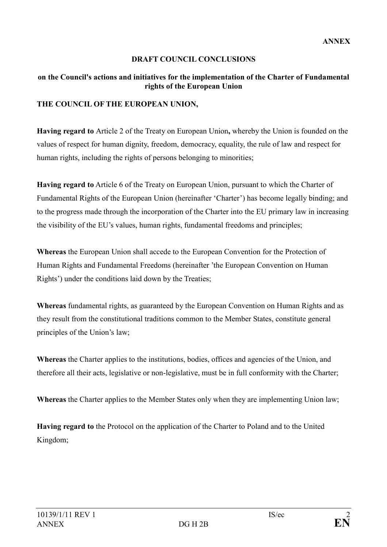# DRAFT COUNCIL CONCLUSIONS

#### on the Council's actions and initiatives for the implementation of the Charter of Fundamental rights of the European Union

#### THE COUNCIL OF THE EUROPEAN UNION,

Having regard to Article 2 of the Treaty on European Union, whereby the Union is founded on the values of respect for human dignity, freedom, democracy, equality, the rule of law and respect for human rights, including the rights of persons belonging to minorities;

Having regard to Article 6 of the Treaty on European Union, pursuant to which the Charter of Fundamental Rights of the European Union (hereinafter 'Charter') has become legally binding; and to the progress made through the incorporation of the Charter into the EU primary law in increasing the visibility of the EU's values, human rights, fundamental freedoms and principles;

Whereas the European Union shall accede to the European Convention for the Protection of Human Rights and Fundamental Freedoms (hereinafter 'the European Convention on Human Rights') under the conditions laid down by the Treaties;

Whereas fundamental rights, as guaranteed by the European Convention on Human Rights and as they result from the constitutional traditions common to the Member States, constitute general principles of the Union's law;

Whereas the Charter applies to the institutions, bodies, offices and agencies of the Union, and therefore all their acts, legislative or non-legislative, must be in full conformity with the Charter;

Whereas the Charter applies to the Member States only when they are implementing Union law;

Having regard to the Protocol on the application of the Charter to Poland and to the United Kingdom;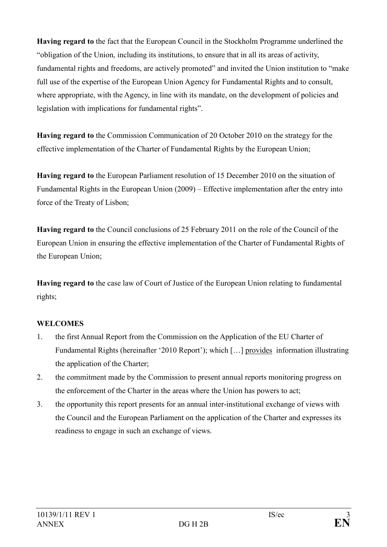Having regard to the fact that the European Council in the Stockholm Programme underlined the "obligation of the Union, including its institutions, to ensure that in all its areas of activity, fundamental rights and freedoms, are actively promoted" and invited the Union institution to "make full use of the expertise of the European Union Agency for Fundamental Rights and to consult, where appropriate, with the Agency, in line with its mandate, on the development of policies and legislation with implications for fundamental rights".

Having regard to the Commission Communication of 20 October 2010 on the strategy for the effective implementation of the Charter of Fundamental Rights by the European Union;

Having regard to the European Parliament resolution of 15 December 2010 on the situation of Fundamental Rights in the European Union (2009) – Effective implementation after the entry into force of the Treaty of Lisbon;

Having regard to the Council conclusions of 25 February 2011 on the role of the Council of the European Union in ensuring the effective implementation of the Charter of Fundamental Rights of the European Union;

Having regard to the case law of Court of Justice of the European Union relating to fundamental rights;

## WELCOMES

- 1. the first Annual Report from the Commission on the Application of the EU Charter of Fundamental Rights (hereinafter '2010 Report'); which […] provides information illustrating the application of the Charter;
- 2. the commitment made by the Commission to present annual reports monitoring progress on the enforcement of the Charter in the areas where the Union has powers to act;
- 3. the opportunity this report presents for an annual inter-institutional exchange of views with the Council and the European Parliament on the application of the Charter and expresses its readiness to engage in such an exchange of views.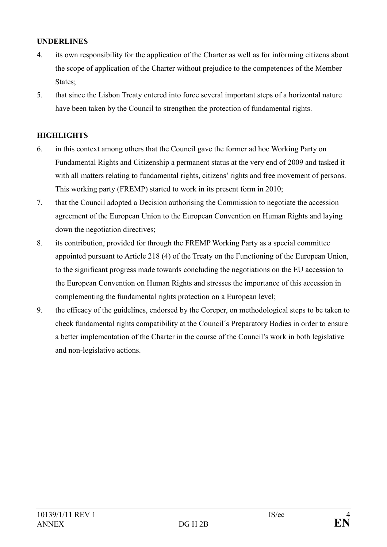### UNDERLINES

- 4. its own responsibility for the application of the Charter as well as for informing citizens about the scope of application of the Charter without prejudice to the competences of the Member States;
- 5. that since the Lisbon Treaty entered into force several important steps of a horizontal nature have been taken by the Council to strengthen the protection of fundamental rights.

#### **HIGHLIGHTS**

- 6. in this context among others that the Council gave the former ad hoc Working Party on Fundamental Rights and Citizenship a permanent status at the very end of 2009 and tasked it with all matters relating to fundamental rights, citizens' rights and free movement of persons. This working party (FREMP) started to work in its present form in 2010;
- 7. that the Council adopted a Decision authorising the Commission to negotiate the accession agreement of the European Union to the European Convention on Human Rights and laying down the negotiation directives;
- 8. its contribution, provided for through the FREMP Working Party as a special committee appointed pursuant to Article 218 (4) of the Treaty on the Functioning of the European Union, to the significant progress made towards concluding the negotiations on the EU accession to the European Convention on Human Rights and stresses the importance of this accession in complementing the fundamental rights protection on a European level;
- 9. the efficacy of the guidelines, endorsed by the Coreper, on methodological steps to be taken to check fundamental rights compatibility at the Council´s Preparatory Bodies in order to ensure a better implementation of the Charter in the course of the Council's work in both legislative and non-legislative actions.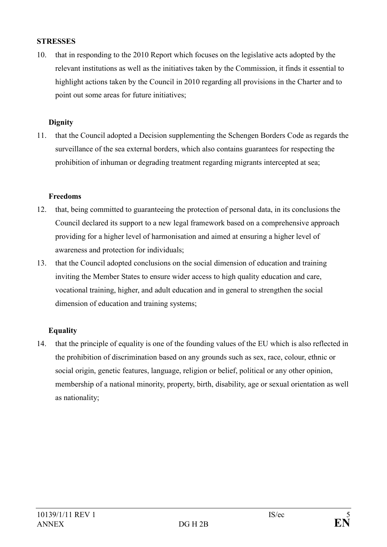#### **STRESSES**

10. that in responding to the 2010 Report which focuses on the legislative acts adopted by the relevant institutions as well as the initiatives taken by the Commission, it finds it essential to highlight actions taken by the Council in 2010 regarding all provisions in the Charter and to point out some areas for future initiatives;

#### **Dignity**

11. that the Council adopted a Decision supplementing the Schengen Borders Code as regards the surveillance of the sea external borders, which also contains guarantees for respecting the prohibition of inhuman or degrading treatment regarding migrants intercepted at sea;

## Freedoms

- 12. that, being committed to guaranteeing the protection of personal data, in its conclusions the Council declared its support to a new legal framework based on a comprehensive approach providing for a higher level of harmonisation and aimed at ensuring a higher level of awareness and protection for individuals;
- 13. that the Council adopted conclusions on the social dimension of education and training inviting the Member States to ensure wider access to high quality education and care, vocational training, higher, and adult education and in general to strengthen the social dimension of education and training systems;

## **Equality**

14. that the principle of equality is one of the founding values of the EU which is also reflected in the prohibition of discrimination based on any grounds such as sex, race, colour, ethnic or social origin, genetic features, language, religion or belief, political or any other opinion, membership of a national minority, property, birth, disability, age or sexual orientation as well as nationality;

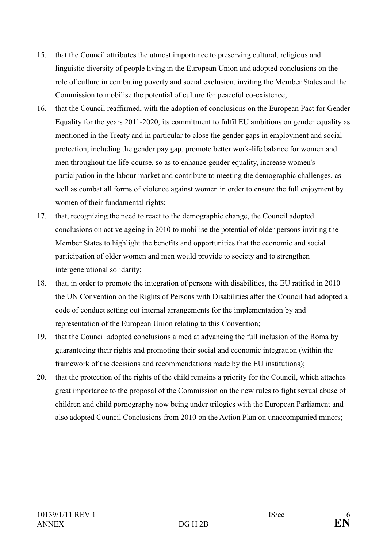- 15. that the Council attributes the utmost importance to preserving cultural, religious and linguistic diversity of people living in the European Union and adopted conclusions on the role of culture in combating poverty and social exclusion, inviting the Member States and the Commission to mobilise the potential of culture for peaceful co-existence;
- 16. that the Council reaffirmed, with the adoption of conclusions on the European Pact for Gender Equality for the years 2011-2020, its commitment to fulfil EU ambitions on gender equality as mentioned in the Treaty and in particular to close the gender gaps in employment and social protection, including the gender pay gap, promote better work-life balance for women and men throughout the life-course, so as to enhance gender equality, increase women's participation in the labour market and contribute to meeting the demographic challenges, as well as combat all forms of violence against women in order to ensure the full enjoyment by women of their fundamental rights;
- 17. that, recognizing the need to react to the demographic change, the Council adopted conclusions on active ageing in 2010 to mobilise the potential of older persons inviting the Member States to highlight the benefits and opportunities that the economic and social participation of older women and men would provide to society and to strengthen intergenerational solidarity;
- 18. that, in order to promote the integration of persons with disabilities, the EU ratified in 2010 the UN Convention on the Rights of Persons with Disabilities after the Council had adopted a code of conduct setting out internal arrangements for the implementation by and representation of the European Union relating to this Convention;
- 19. that the Council adopted conclusions aimed at advancing the full inclusion of the Roma by guaranteeing their rights and promoting their social and economic integration (within the framework of the decisions and recommendations made by the EU institutions);
- 20. that the protection of the rights of the child remains a priority for the Council, which attaches great importance to the proposal of the Commission on the new rules to fight sexual abuse of children and child pornography now being under trilogies with the European Parliament and also adopted Council Conclusions from 2010 on the Action Plan on unaccompanied minors;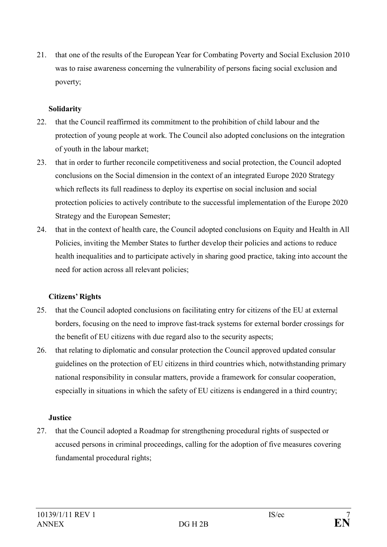21. that one of the results of the European Year for Combating Poverty and Social Exclusion 2010 was to raise awareness concerning the vulnerability of persons facing social exclusion and poverty;

## Solidarity

- 22. that the Council reaffirmed its commitment to the prohibition of child labour and the protection of young people at work. The Council also adopted conclusions on the integration of youth in the labour market;
- 23. that in order to further reconcile competitiveness and social protection, the Council adopted conclusions on the Social dimension in the context of an integrated Europe 2020 Strategy which reflects its full readiness to deploy its expertise on social inclusion and social protection policies to actively contribute to the successful implementation of the Europe 2020 Strategy and the European Semester;
- 24. that in the context of health care, the Council adopted conclusions on Equity and Health in All Policies, inviting the Member States to further develop their policies and actions to reduce health inequalities and to participate actively in sharing good practice, taking into account the need for action across all relevant policies;

## Citizens' Rights

- 25. that the Council adopted conclusions on facilitating entry for citizens of the EU at external borders, focusing on the need to improve fast-track systems for external border crossings for the benefit of EU citizens with due regard also to the security aspects;
- 26. that relating to diplomatic and consular protection the Council approved updated consular guidelines on the protection of EU citizens in third countries which, notwithstanding primary national responsibility in consular matters, provide a framework for consular cooperation, especially in situations in which the safety of EU citizens is endangered in a third country;

#### **Justice**

27. that the Council adopted a Roadmap for strengthening procedural rights of suspected or accused persons in criminal proceedings, calling for the adoption of five measures covering fundamental procedural rights;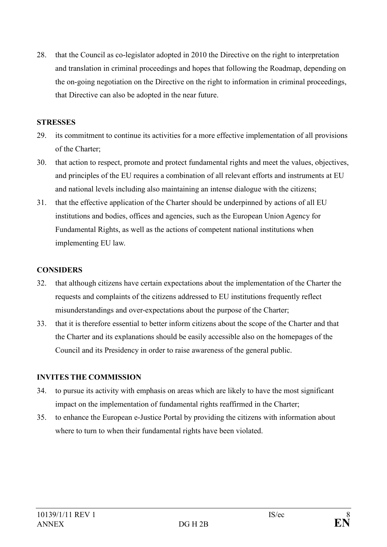28. that the Council as co-legislator adopted in 2010 the Directive on the right to interpretation and translation in criminal proceedings and hopes that following the Roadmap, depending on the on-going negotiation on the Directive on the right to information in criminal proceedings, that Directive can also be adopted in the near future.

#### **STRESSES**

- 29. its commitment to continue its activities for a more effective implementation of all provisions of the Charter;
- 30. that action to respect, promote and protect fundamental rights and meet the values, objectives, and principles of the EU requires a combination of all relevant efforts and instruments at EU and national levels including also maintaining an intense dialogue with the citizens;
- 31. that the effective application of the Charter should be underpinned by actions of all EU institutions and bodies, offices and agencies, such as the European Union Agency for Fundamental Rights, as well as the actions of competent national institutions when implementing EU law.

#### **CONSIDERS**

- 32. that although citizens have certain expectations about the implementation of the Charter the requests and complaints of the citizens addressed to EU institutions frequently reflect misunderstandings and over-expectations about the purpose of the Charter;
- 33. that it is therefore essential to better inform citizens about the scope of the Charter and that the Charter and its explanations should be easily accessible also on the homepages of the Council and its Presidency in order to raise awareness of the general public.

## INVITES THE COMMISSION

- 34. to pursue its activity with emphasis on areas which are likely to have the most significant impact on the implementation of fundamental rights reaffirmed in the Charter;
- 35. to enhance the European e-Justice Portal by providing the citizens with information about where to turn to when their fundamental rights have been violated.